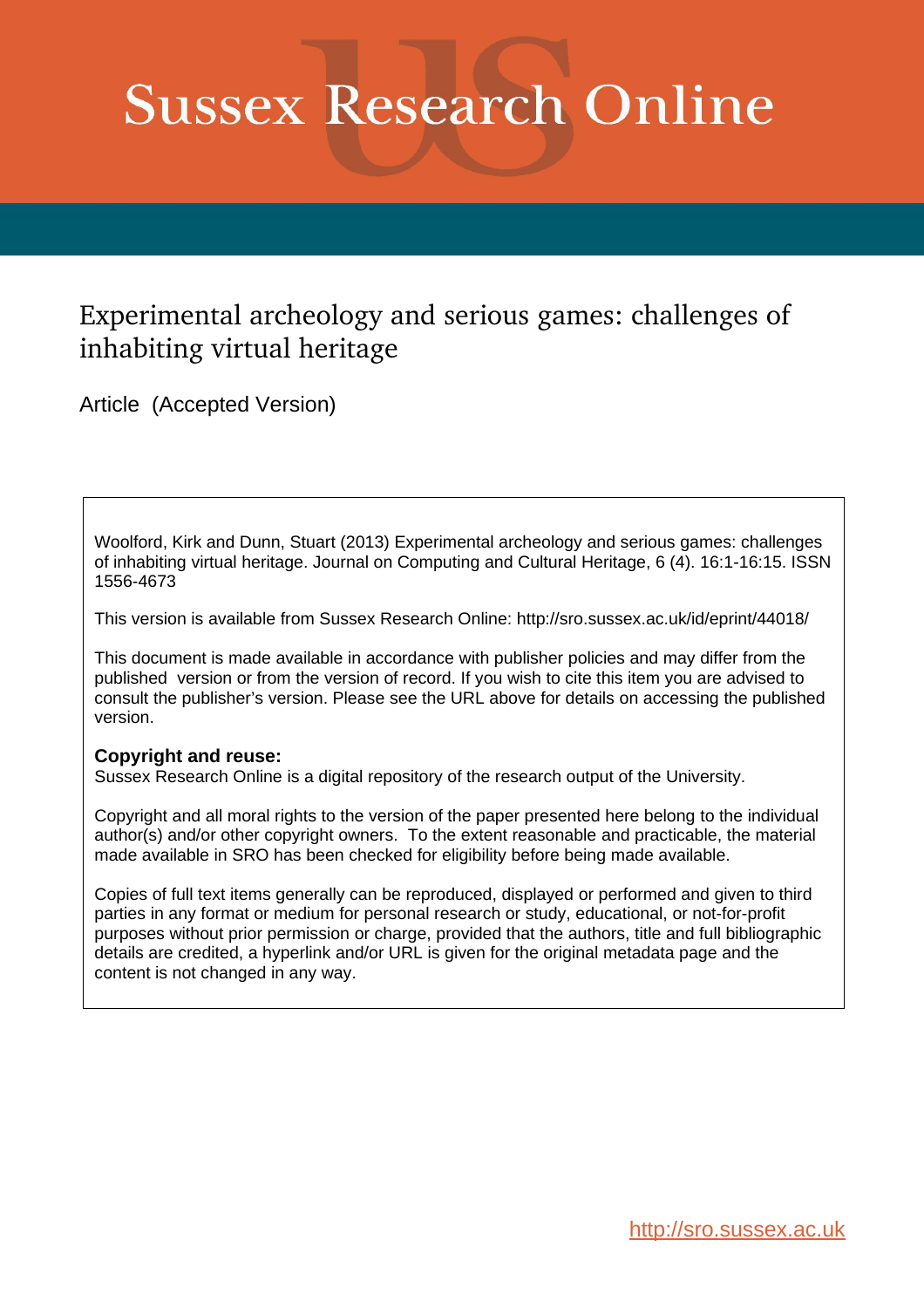# **Sussex Research Online**

# Experimental archeology and serious games: challenges of inhabiting virtual heritage

Article (Accepted Version)

Woolford, Kirk and Dunn, Stuart (2013) Experimental archeology and serious games: challenges of inhabiting virtual heritage. Journal on Computing and Cultural Heritage, 6 (4). 16:1-16:15. ISSN 1556-4673

This version is available from Sussex Research Online: http://sro.sussex.ac.uk/id/eprint/44018/

This document is made available in accordance with publisher policies and may differ from the published version or from the version of record. If you wish to cite this item you are advised to consult the publisher's version. Please see the URL above for details on accessing the published version.

## **Copyright and reuse:**

Sussex Research Online is a digital repository of the research output of the University.

Copyright and all moral rights to the version of the paper presented here belong to the individual author(s) and/or other copyright owners. To the extent reasonable and practicable, the material made available in SRO has been checked for eligibility before being made available.

Copies of full text items generally can be reproduced, displayed or performed and given to third parties in any format or medium for personal research or study, educational, or not-for-profit purposes without prior permission or charge, provided that the authors, title and full bibliographic details are credited, a hyperlink and/or URL is given for the original metadata page and the content is not changed in any way.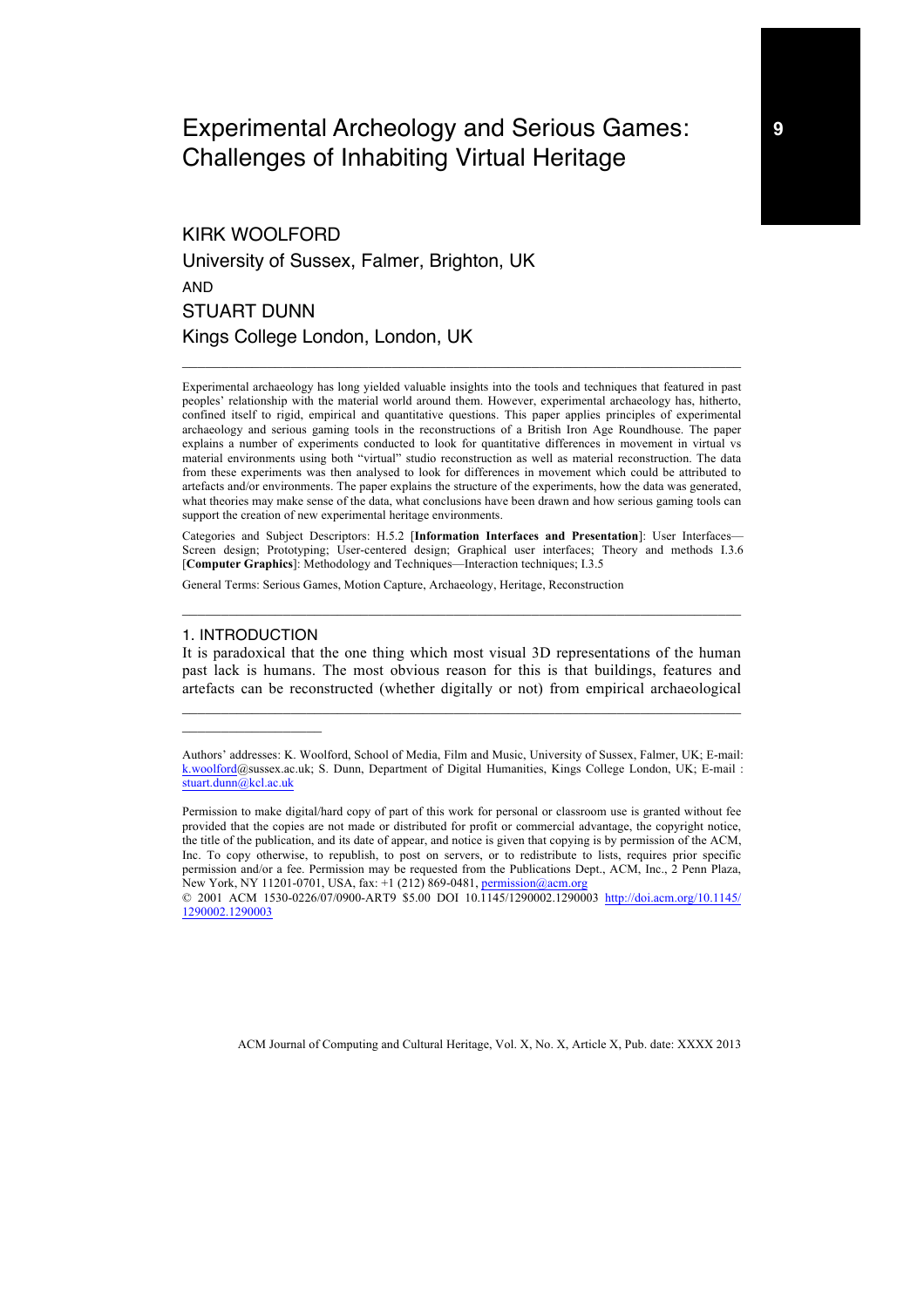## KIRK WOOLFORD University of Sussex, Falmer, Brighton, UK AND STUART DUNN Kings College London, London, UK

Experimental archaeology has long yielded valuable insights into the tools and techniques that featured in past peoples' relationship with the material world around them. However, experimental archaeology has, hitherto, confined itself to rigid, empirical and quantitative questions. This paper applies principles of experimental archaeology and serious gaming tools in the reconstructions of a British Iron Age Roundhouse. The paper explains a number of experiments conducted to look for quantitative differences in movement in virtual vs material environments using both "virtual" studio reconstruction as well as material reconstruction. The data from these experiments was then analysed to look for differences in movement which could be attributed to artefacts and/or environments. The paper explains the structure of the experiments, how the data was generated, what theories may make sense of the data, what conclusions have been drawn and how serious gaming tools can support the creation of new experimental heritage environments.

 $\mathcal{L}_\text{max} = \mathcal{L}_\text{max} = \mathcal{L}_\text{max} = \mathcal{L}_\text{max} = \mathcal{L}_\text{max} = \mathcal{L}_\text{max} = \mathcal{L}_\text{max} = \mathcal{L}_\text{max} = \mathcal{L}_\text{max} = \mathcal{L}_\text{max} = \mathcal{L}_\text{max} = \mathcal{L}_\text{max} = \mathcal{L}_\text{max} = \mathcal{L}_\text{max} = \mathcal{L}_\text{max} = \mathcal{L}_\text{max} = \mathcal{L}_\text{max} = \mathcal{L}_\text{max} = \mathcal{$ 

Categories and Subject Descriptors: H.5.2 [**Information Interfaces and Presentation**]: User Interfaces— Screen design; Prototyping; User-centered design; Graphical user interfaces; Theory and methods I.3.6 [**Computer Graphics**]: Methodology and Techniques—Interaction techniques; I.3.5

General Terms: Serious Games, Motion Capture, Archaeology, Heritage, Reconstruction

#### 1. INTRODUCTION

 $\mathcal{L}_\text{max}$  , where  $\mathcal{L}_\text{max}$  and  $\mathcal{L}_\text{max}$ 

It is paradoxical that the one thing which most visual 3D representations of the human past lack is humans. The most obvious reason for this is that buildings, features and artefacts can be reconstructed (whether digitally or not) from empirical archaeological

Authors' addresses: K. Woolford, School of Media, Film and Music, University of Sussex, Falmer, UK; E-mail: k.woolford@sussex.ac.uk; S. Dunn, Department of Digital Humanities, Kings College London, UK; E-mail : stuart.dunn@kcl.ac.uk

Permission to make digital/hard copy of part of this work for personal or classroom use is granted without fee provided that the copies are not made or distributed for profit or commercial advantage, the copyright notice, the title of the publication, and its date of appear, and notice is given that copying is by permission of the ACM, Inc. To copy otherwise, to republish, to post on servers, or to redistribute to lists, requires prior specific permission and/or a fee. Permission may be requested from the Publications Dept., ACM, Inc., 2 Penn Plaza, New York, NY 11201-0701, USA, fax: +1 (212) 869-0481, permission@acm.org

<sup>© 2001</sup> ACM 1530-0226/07/0900-ART9 \$5.00 DOI 10.1145/1290002.1290003 http://doi.acm.org/10.1145/ 1290002.1290003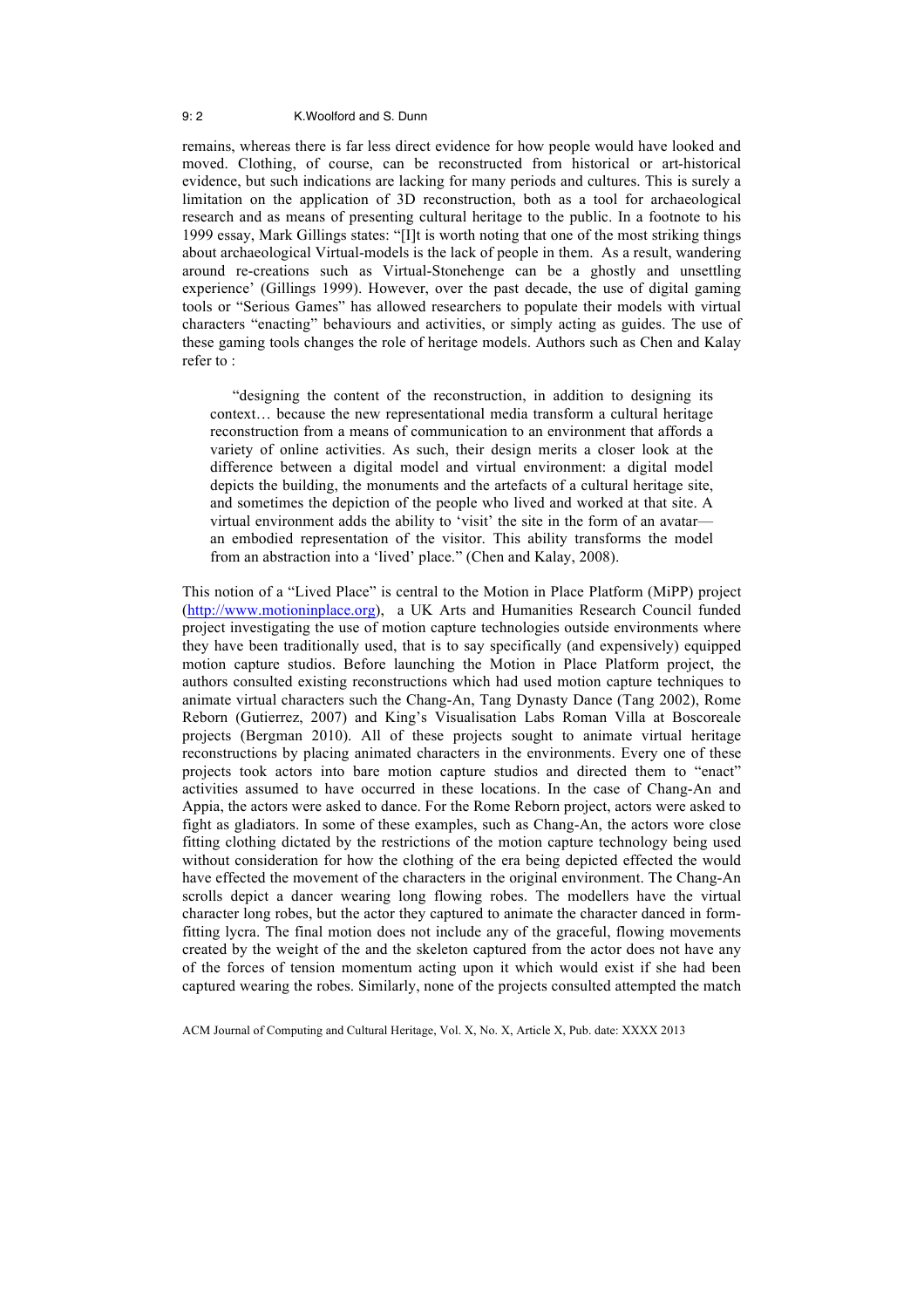#### 9: 2 K.Woolford and S. Dunn

remains, whereas there is far less direct evidence for how people would have looked and moved. Clothing, of course, can be reconstructed from historical or art-historical evidence, but such indications are lacking for many periods and cultures. This is surely a limitation on the application of 3D reconstruction, both as a tool for archaeological research and as means of presenting cultural heritage to the public. In a footnote to his 1999 essay, Mark Gillings states: "[I]t is worth noting that one of the most striking things about archaeological Virtual-models is the lack of people in them. As a result, wandering around re-creations such as Virtual-Stonehenge can be a ghostly and unsettling experience' (Gillings 1999). However, over the past decade, the use of digital gaming tools or "Serious Games" has allowed researchers to populate their models with virtual characters "enacting" behaviours and activities, or simply acting as guides. The use of these gaming tools changes the role of heritage models. Authors such as Chen and Kalay refer to :

"designing the content of the reconstruction, in addition to designing its context… because the new representational media transform a cultural heritage reconstruction from a means of communication to an environment that affords a variety of online activities. As such, their design merits a closer look at the difference between a digital model and virtual environment: a digital model depicts the building, the monuments and the artefacts of a cultural heritage site, and sometimes the depiction of the people who lived and worked at that site. A virtual environment adds the ability to 'visit' the site in the form of an avatar an embodied representation of the visitor. This ability transforms the model from an abstraction into a 'lived' place." (Chen and Kalay, 2008).

This notion of a "Lived Place" is central to the Motion in Place Platform (MiPP) project (http://www.motioninplace.org), a UK Arts and Humanities Research Council funded project investigating the use of motion capture technologies outside environments where they have been traditionally used, that is to say specifically (and expensively) equipped motion capture studios. Before launching the Motion in Place Platform project, the authors consulted existing reconstructions which had used motion capture techniques to animate virtual characters such the Chang-An, Tang Dynasty Dance (Tang 2002), Rome Reborn (Gutierrez, 2007) and King's Visualisation Labs Roman Villa at Boscoreale projects (Bergman 2010). All of these projects sought to animate virtual heritage reconstructions by placing animated characters in the environments. Every one of these projects took actors into bare motion capture studios and directed them to "enact" activities assumed to have occurred in these locations. In the case of Chang-An and Appia, the actors were asked to dance. For the Rome Reborn project, actors were asked to fight as gladiators. In some of these examples, such as Chang-An, the actors wore close fitting clothing dictated by the restrictions of the motion capture technology being used without consideration for how the clothing of the era being depicted effected the would have effected the movement of the characters in the original environment. The Chang-An scrolls depict a dancer wearing long flowing robes. The modellers have the virtual character long robes, but the actor they captured to animate the character danced in formfitting lycra. The final motion does not include any of the graceful, flowing movements created by the weight of the and the skeleton captured from the actor does not have any of the forces of tension momentum acting upon it which would exist if she had been captured wearing the robes. Similarly, none of the projects consulted attempted the match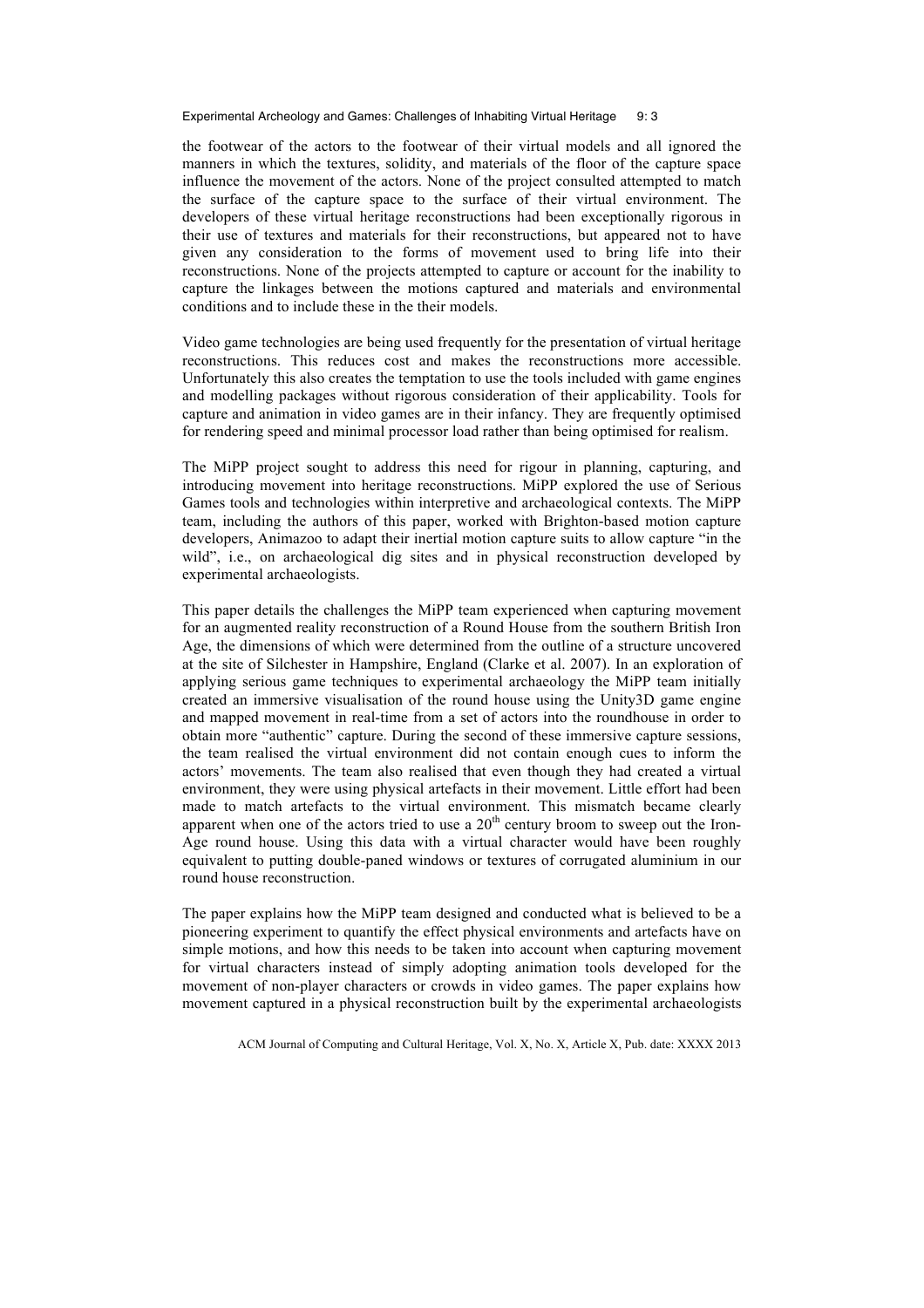the footwear of the actors to the footwear of their virtual models and all ignored the manners in which the textures, solidity, and materials of the floor of the capture space influence the movement of the actors. None of the project consulted attempted to match the surface of the capture space to the surface of their virtual environment. The developers of these virtual heritage reconstructions had been exceptionally rigorous in their use of textures and materials for their reconstructions, but appeared not to have given any consideration to the forms of movement used to bring life into their reconstructions. None of the projects attempted to capture or account for the inability to capture the linkages between the motions captured and materials and environmental conditions and to include these in the their models.

Video game technologies are being used frequently for the presentation of virtual heritage reconstructions. This reduces cost and makes the reconstructions more accessible. Unfortunately this also creates the temptation to use the tools included with game engines and modelling packages without rigorous consideration of their applicability. Tools for capture and animation in video games are in their infancy. They are frequently optimised for rendering speed and minimal processor load rather than being optimised for realism.

The MiPP project sought to address this need for rigour in planning, capturing, and introducing movement into heritage reconstructions. MiPP explored the use of Serious Games tools and technologies within interpretive and archaeological contexts. The MiPP team, including the authors of this paper, worked with Brighton-based motion capture developers, Animazoo to adapt their inertial motion capture suits to allow capture "in the wild", i.e., on archaeological dig sites and in physical reconstruction developed by experimental archaeologists.

This paper details the challenges the MiPP team experienced when capturing movement for an augmented reality reconstruction of a Round House from the southern British Iron Age, the dimensions of which were determined from the outline of a structure uncovered at the site of Silchester in Hampshire, England (Clarke et al. 2007). In an exploration of applying serious game techniques to experimental archaeology the MiPP team initially created an immersive visualisation of the round house using the Unity3D game engine and mapped movement in real-time from a set of actors into the roundhouse in order to obtain more "authentic" capture. During the second of these immersive capture sessions, the team realised the virtual environment did not contain enough cues to inform the actors' movements. The team also realised that even though they had created a virtual environment, they were using physical artefacts in their movement. Little effort had been made to match artefacts to the virtual environment. This mismatch became clearly apparent when one of the actors tried to use a  $20<sup>th</sup>$  century broom to sweep out the Iron-Age round house. Using this data with a virtual character would have been roughly equivalent to putting double-paned windows or textures of corrugated aluminium in our round house reconstruction.

The paper explains how the MiPP team designed and conducted what is believed to be a pioneering experiment to quantify the effect physical environments and artefacts have on simple motions, and how this needs to be taken into account when capturing movement for virtual characters instead of simply adopting animation tools developed for the movement of non-player characters or crowds in video games. The paper explains how movement captured in a physical reconstruction built by the experimental archaeologists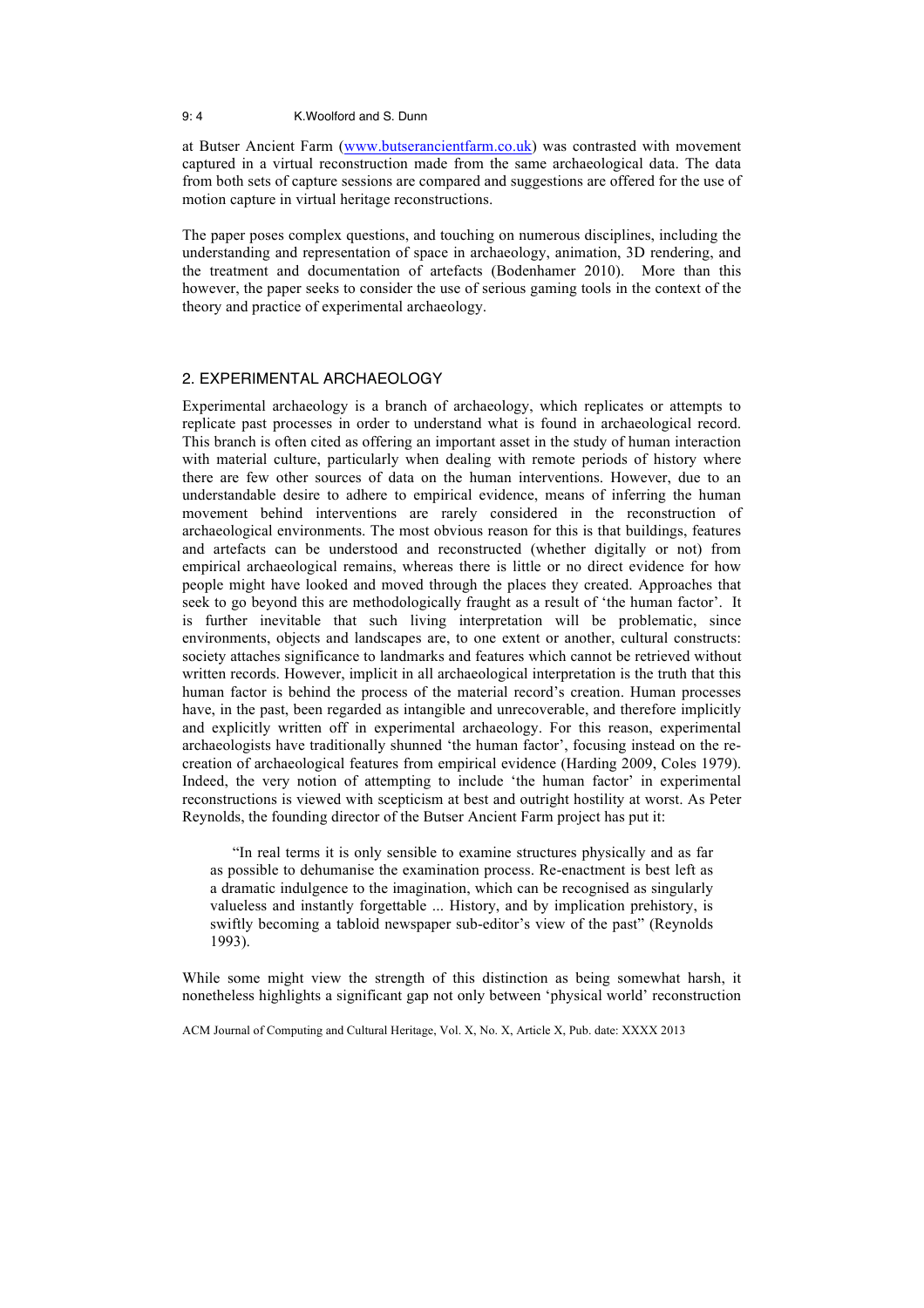#### 9: 4 K.Woolford and S. Dunn

at Butser Ancient Farm (www.butserancientfarm.co.uk) was contrasted with movement captured in a virtual reconstruction made from the same archaeological data. The data from both sets of capture sessions are compared and suggestions are offered for the use of motion capture in virtual heritage reconstructions.

The paper poses complex questions, and touching on numerous disciplines, including the understanding and representation of space in archaeology, animation, 3D rendering, and the treatment and documentation of artefacts (Bodenhamer 2010). More than this however, the paper seeks to consider the use of serious gaming tools in the context of the theory and practice of experimental archaeology.

#### 2. EXPERIMENTAL ARCHAEOLOGY

Experimental archaeology is a branch of archaeology, which replicates or attempts to replicate past processes in order to understand what is found in archaeological record. This branch is often cited as offering an important asset in the study of human interaction with material culture, particularly when dealing with remote periods of history where there are few other sources of data on the human interventions. However, due to an understandable desire to adhere to empirical evidence, means of inferring the human movement behind interventions are rarely considered in the reconstruction of archaeological environments. The most obvious reason for this is that buildings, features and artefacts can be understood and reconstructed (whether digitally or not) from empirical archaeological remains, whereas there is little or no direct evidence for how people might have looked and moved through the places they created. Approaches that seek to go beyond this are methodologically fraught as a result of 'the human factor'. It is further inevitable that such living interpretation will be problematic, since environments, objects and landscapes are, to one extent or another, cultural constructs: society attaches significance to landmarks and features which cannot be retrieved without written records. However, implicit in all archaeological interpretation is the truth that this human factor is behind the process of the material record's creation. Human processes have, in the past, been regarded as intangible and unrecoverable, and therefore implicitly and explicitly written off in experimental archaeology. For this reason, experimental archaeologists have traditionally shunned 'the human factor', focusing instead on the recreation of archaeological features from empirical evidence (Harding 2009, Coles 1979). Indeed, the very notion of attempting to include 'the human factor' in experimental reconstructions is viewed with scepticism at best and outright hostility at worst. As Peter Reynolds, the founding director of the Butser Ancient Farm project has put it:

"In real terms it is only sensible to examine structures physically and as far as possible to dehumanise the examination process. Re-enactment is best left as a dramatic indulgence to the imagination, which can be recognised as singularly valueless and instantly forgettable ... History, and by implication prehistory, is swiftly becoming a tabloid newspaper sub-editor's view of the past" (Reynolds 1993).

While some might view the strength of this distinction as being somewhat harsh, it nonetheless highlights a significant gap not only between 'physical world' reconstruction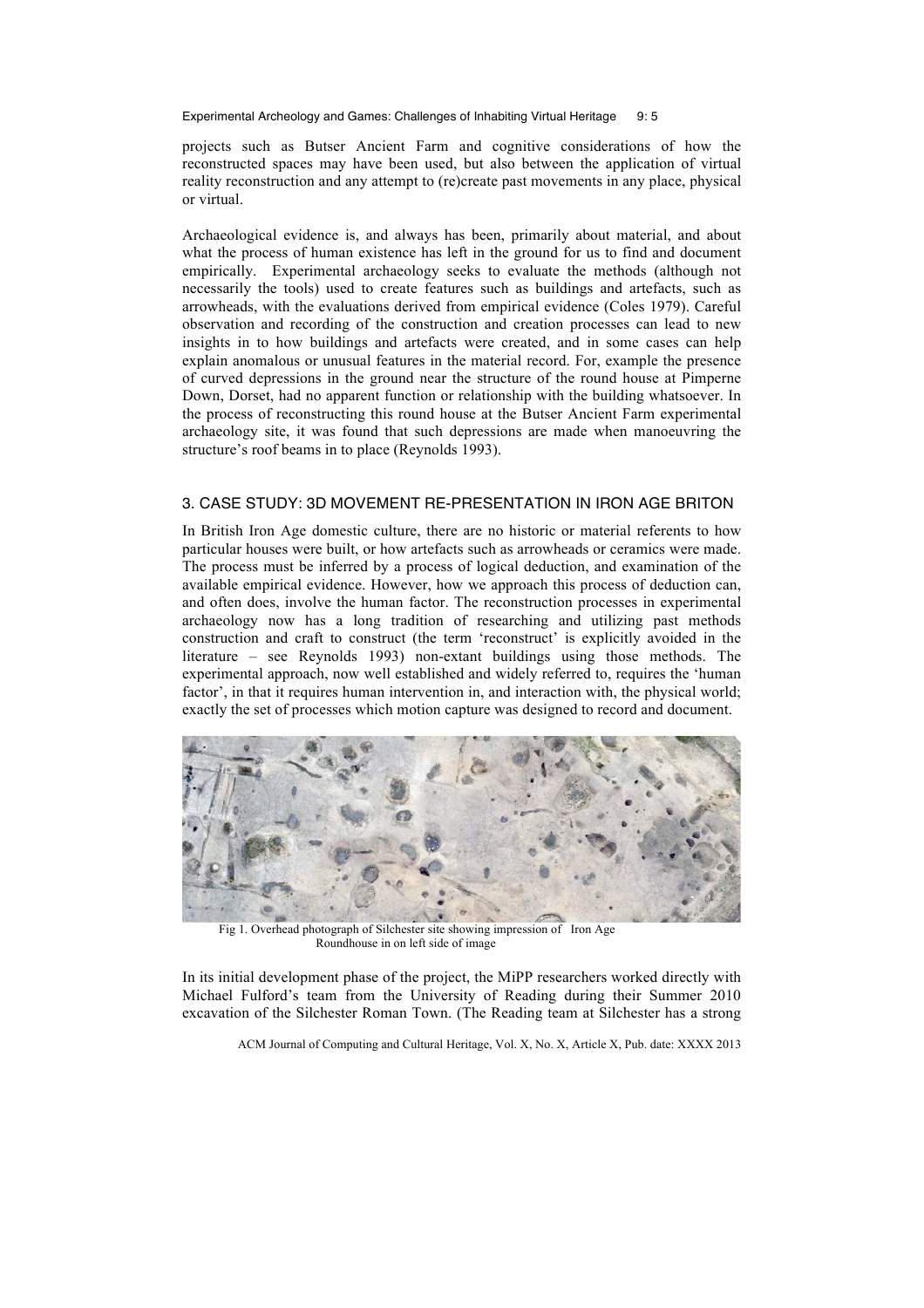projects such as Butser Ancient Farm and cognitive considerations of how the reconstructed spaces may have been used, but also between the application of virtual reality reconstruction and any attempt to (re)create past movements in any place, physical or virtual.

Archaeological evidence is, and always has been, primarily about material, and about what the process of human existence has left in the ground for us to find and document empirically. Experimental archaeology seeks to evaluate the methods (although not necessarily the tools) used to create features such as buildings and artefacts, such as arrowheads, with the evaluations derived from empirical evidence (Coles 1979). Careful observation and recording of the construction and creation processes can lead to new insights in to how buildings and artefacts were created, and in some cases can help explain anomalous or unusual features in the material record. For, example the presence of curved depressions in the ground near the structure of the round house at Pimperne Down, Dorset, had no apparent function or relationship with the building whatsoever. In the process of reconstructing this round house at the Butser Ancient Farm experimental archaeology site, it was found that such depressions are made when manoeuvring the structure's roof beams in to place (Reynolds 1993).

### 3. CASE STUDY: 3D MOVEMENT RE-PRESENTATION IN IRON AGE BRITON

In British Iron Age domestic culture, there are no historic or material referents to how particular houses were built, or how artefacts such as arrowheads or ceramics were made. The process must be inferred by a process of logical deduction, and examination of the available empirical evidence. However, how we approach this process of deduction can, and often does, involve the human factor. The reconstruction processes in experimental archaeology now has a long tradition of researching and utilizing past methods construction and craft to construct (the term 'reconstruct' is explicitly avoided in the literature – see Reynolds 1993) non-extant buildings using those methods. The experimental approach, now well established and widely referred to, requires the 'human factor', in that it requires human intervention in, and interaction with, the physical world; exactly the set of processes which motion capture was designed to record and document.



Fig 1. Overhead photograph of Silchester site showing impression of Iron Age Roundhouse in on left side of image

In its initial development phase of the project, the MiPP researchers worked directly with Michael Fulford's team from the University of Reading during their Summer 2010 excavation of the Silchester Roman Town. (The Reading team at Silchester has a strong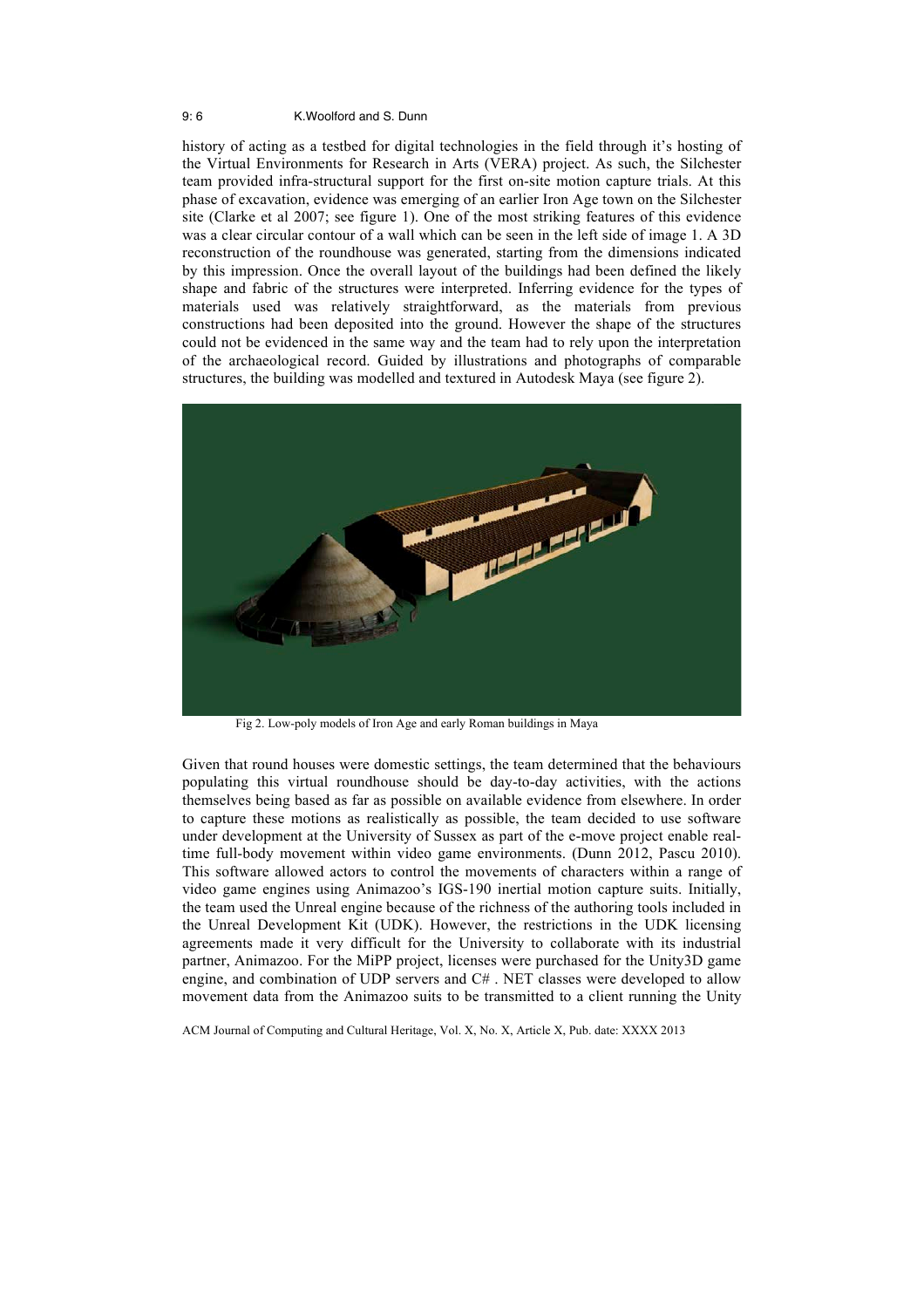#### 9: 6 K. Woolford and S. Dunn

history of acting as a testbed for digital technologies in the field through it's hosting of the Virtual Environments for Research in Arts (VERA) project. As such, the Silchester team provided infra-structural support for the first on-site motion capture trials. At this phase of excavation, evidence was emerging of an earlier Iron Age town on the Silchester site (Clarke et al 2007; see figure 1). One of the most striking features of this evidence was a clear circular contour of a wall which can be seen in the left side of image 1. A 3D reconstruction of the roundhouse was generated, starting from the dimensions indicated by this impression. Once the overall layout of the buildings had been defined the likely shape and fabric of the structures were interpreted. Inferring evidence for the types of materials used was relatively straightforward, as the materials from previous constructions had been deposited into the ground. However the shape of the structures could not be evidenced in the same way and the team had to rely upon the interpretation of the archaeological record. Guided by illustrations and photographs of comparable structures, the building was modelled and textured in Autodesk Maya (see figure 2).



Fig 2. Low-poly models of Iron Age and early Roman buildings in Maya

Given that round houses were domestic settings, the team determined that the behaviours populating this virtual roundhouse should be day-to-day activities, with the actions themselves being based as far as possible on available evidence from elsewhere. In order to capture these motions as realistically as possible, the team decided to use software under development at the University of Sussex as part of the e-move project enable realtime full-body movement within video game environments. (Dunn 2012, Pascu 2010). This software allowed actors to control the movements of characters within a range of video game engines using Animazoo's IGS-190 inertial motion capture suits. Initially, the team used the Unreal engine because of the richness of the authoring tools included in the Unreal Development Kit (UDK). However, the restrictions in the UDK licensing agreements made it very difficult for the University to collaborate with its industrial partner, Animazoo. For the MiPP project, licenses were purchased for the Unity3D game engine, and combination of UDP servers and C# . NET classes were developed to allow movement data from the Animazoo suits to be transmitted to a client running the Unity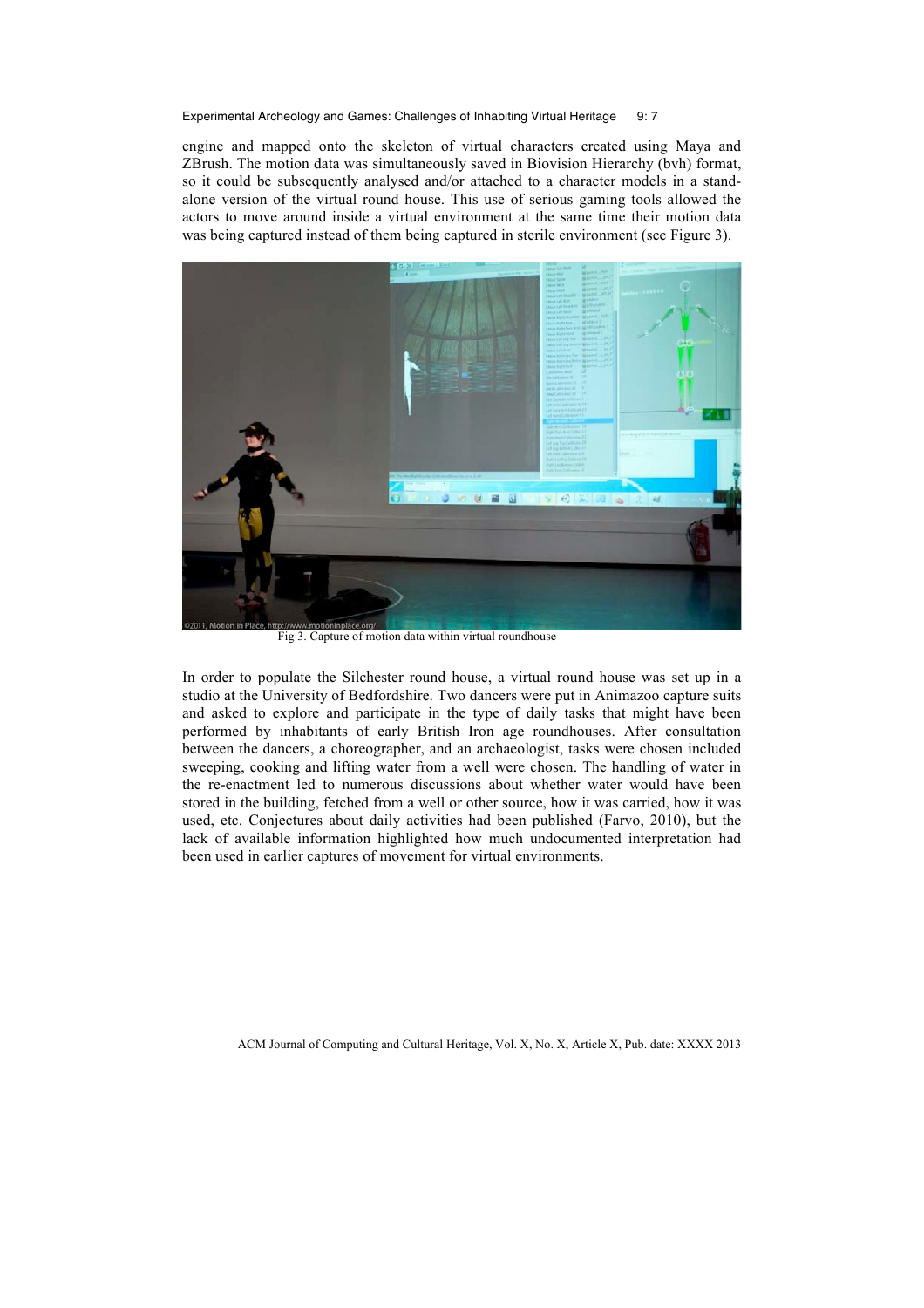engine and mapped onto the skeleton of virtual characters created using Maya and ZBrush. The motion data was simultaneously saved in Biovision Hierarchy (bvh) format, so it could be subsequently analysed and/or attached to a character models in a standalone version of the virtual round house. This use of serious gaming tools allowed the actors to move around inside a virtual environment at the same time their motion data was being captured instead of them being captured in sterile environment (see Figure 3).



Fig 3. Capture of motion data within virtual roundhouse

In order to populate the Silchester round house, a virtual round house was set up in a studio at the University of Bedfordshire. Two dancers were put in Animazoo capture suits and asked to explore and participate in the type of daily tasks that might have been performed by inhabitants of early British Iron age roundhouses. After consultation between the dancers, a choreographer, and an archaeologist, tasks were chosen included sweeping, cooking and lifting water from a well were chosen. The handling of water in the re-enactment led to numerous discussions about whether water would have been stored in the building, fetched from a well or other source, how it was carried, how it was used, etc. Conjectures about daily activities had been published (Farvo, 2010), but the lack of available information highlighted how much undocumented interpretation had been used in earlier captures of movement for virtual environments.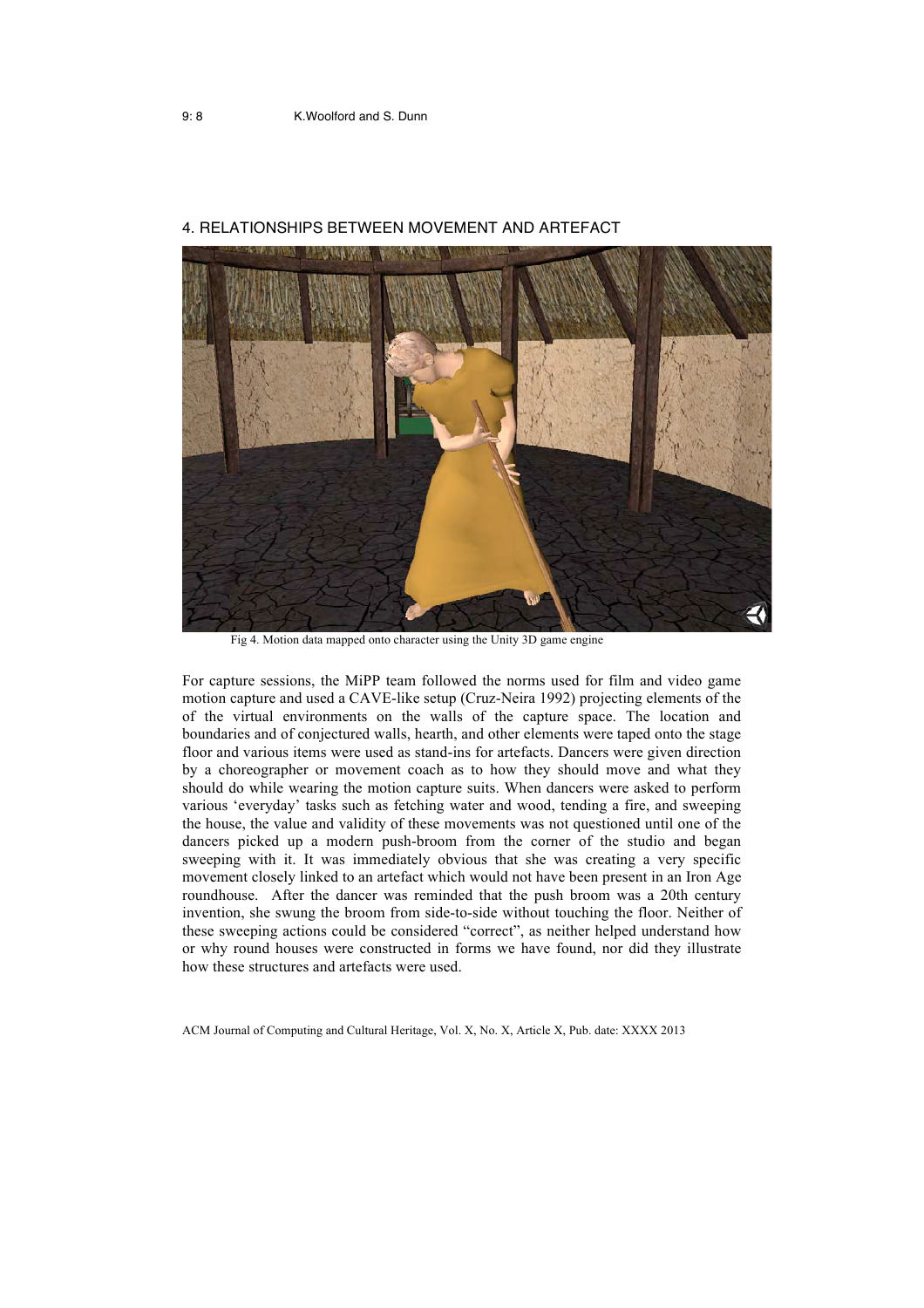

#### 4. RELATIONSHIPS BETWEEN MOVEMENT AND ARTEFACT

Fig 4. Motion data mapped onto character using the Unity 3D game engine

For capture sessions, the MiPP team followed the norms used for film and video game motion capture and used a CAVE-like setup (Cruz-Neira 1992) projecting elements of the of the virtual environments on the walls of the capture space. The location and boundaries and of conjectured walls, hearth, and other elements were taped onto the stage floor and various items were used as stand-ins for artefacts. Dancers were given direction by a choreographer or movement coach as to how they should move and what they should do while wearing the motion capture suits. When dancers were asked to perform various 'everyday' tasks such as fetching water and wood, tending a fire, and sweeping the house, the value and validity of these movements was not questioned until one of the dancers picked up a modern push-broom from the corner of the studio and began sweeping with it. It was immediately obvious that she was creating a very specific movement closely linked to an artefact which would not have been present in an Iron Age roundhouse. After the dancer was reminded that the push broom was a 20th century invention, she swung the broom from side-to-side without touching the floor. Neither of these sweeping actions could be considered "correct", as neither helped understand how or why round houses were constructed in forms we have found, nor did they illustrate how these structures and artefacts were used.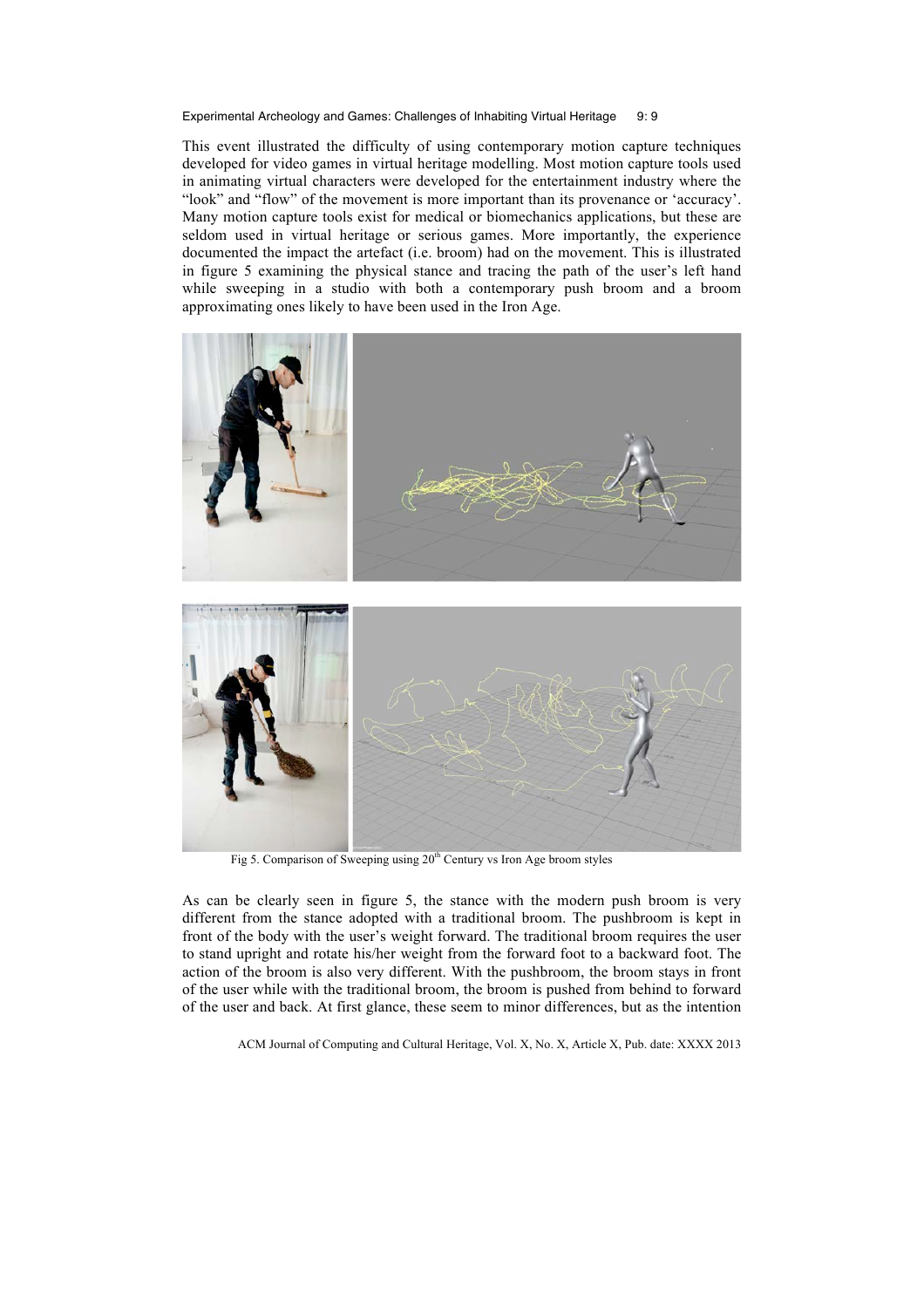This event illustrated the difficulty of using contemporary motion capture techniques developed for video games in virtual heritage modelling. Most motion capture tools used in animating virtual characters were developed for the entertainment industry where the "look" and "flow" of the movement is more important than its provenance or 'accuracy'. Many motion capture tools exist for medical or biomechanics applications, but these are seldom used in virtual heritage or serious games. More importantly, the experience documented the impact the artefact (i.e. broom) had on the movement. This is illustrated in figure 5 examining the physical stance and tracing the path of the user's left hand while sweeping in a studio with both a contemporary push broom and a broom approximating ones likely to have been used in the Iron Age.



Fig 5. Comparison of Sweeping using  $20<sup>th</sup>$  Century vs Iron Age broom styles

As can be clearly seen in figure 5, the stance with the modern push broom is very different from the stance adopted with a traditional broom. The pushbroom is kept in front of the body with the user's weight forward. The traditional broom requires the user to stand upright and rotate his/her weight from the forward foot to a backward foot. The action of the broom is also very different. With the pushbroom, the broom stays in front of the user while with the traditional broom, the broom is pushed from behind to forward of the user and back. At first glance, these seem to minor differences, but as the intention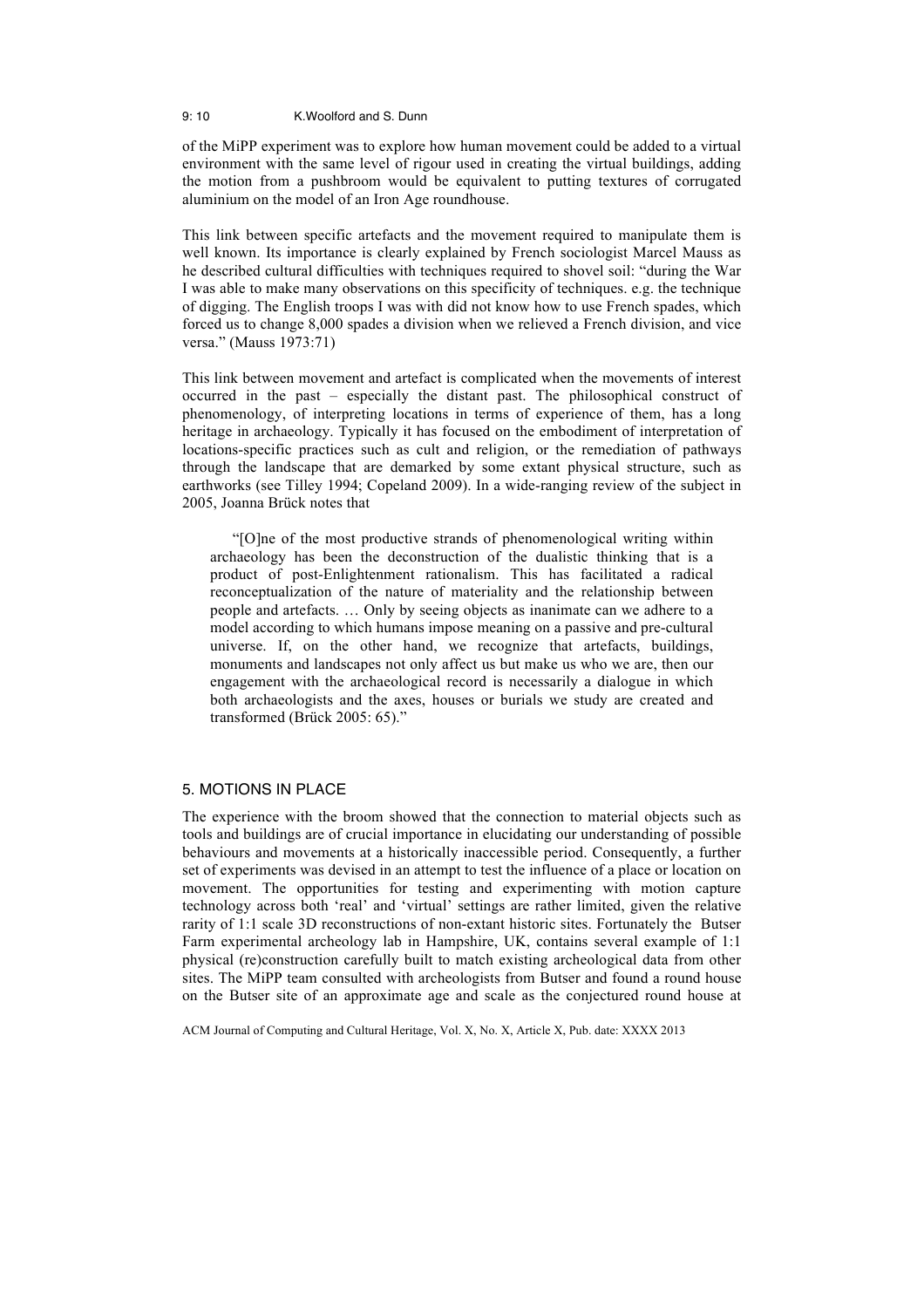#### 9: 10 K.Woolford and S. Dunn

of the MiPP experiment was to explore how human movement could be added to a virtual environment with the same level of rigour used in creating the virtual buildings, adding the motion from a pushbroom would be equivalent to putting textures of corrugated aluminium on the model of an Iron Age roundhouse.

This link between specific artefacts and the movement required to manipulate them is well known. Its importance is clearly explained by French sociologist Marcel Mauss as he described cultural difficulties with techniques required to shovel soil: "during the War I was able to make many observations on this specificity of techniques. e.g. the technique of digging. The English troops I was with did not know how to use French spades, which forced us to change 8,000 spades a division when we relieved a French division, and vice versa." (Mauss 1973:71)

This link between movement and artefact is complicated when the movements of interest occurred in the past – especially the distant past. The philosophical construct of phenomenology, of interpreting locations in terms of experience of them, has a long heritage in archaeology. Typically it has focused on the embodiment of interpretation of locations-specific practices such as cult and religion, or the remediation of pathways through the landscape that are demarked by some extant physical structure, such as earthworks (see Tilley 1994; Copeland 2009). In a wide-ranging review of the subject in 2005, Joanna Brück notes that

"[O]ne of the most productive strands of phenomenological writing within archaeology has been the deconstruction of the dualistic thinking that is a product of post-Enlightenment rationalism. This has facilitated a radical reconceptualization of the nature of materiality and the relationship between people and artefacts. … Only by seeing objects as inanimate can we adhere to a model according to which humans impose meaning on a passive and pre-cultural universe. If, on the other hand, we recognize that artefacts, buildings, monuments and landscapes not only affect us but make us who we are, then our engagement with the archaeological record is necessarily a dialogue in which both archaeologists and the axes, houses or burials we study are created and transformed (Brück 2005: 65)."

#### 5. MOTIONS IN PLACE

The experience with the broom showed that the connection to material objects such as tools and buildings are of crucial importance in elucidating our understanding of possible behaviours and movements at a historically inaccessible period. Consequently, a further set of experiments was devised in an attempt to test the influence of a place or location on movement. The opportunities for testing and experimenting with motion capture technology across both 'real' and 'virtual' settings are rather limited, given the relative rarity of 1:1 scale 3D reconstructions of non-extant historic sites. Fortunately the Butser Farm experimental archeology lab in Hampshire, UK, contains several example of 1:1 physical (re)construction carefully built to match existing archeological data from other sites. The MiPP team consulted with archeologists from Butser and found a round house on the Butser site of an approximate age and scale as the conjectured round house at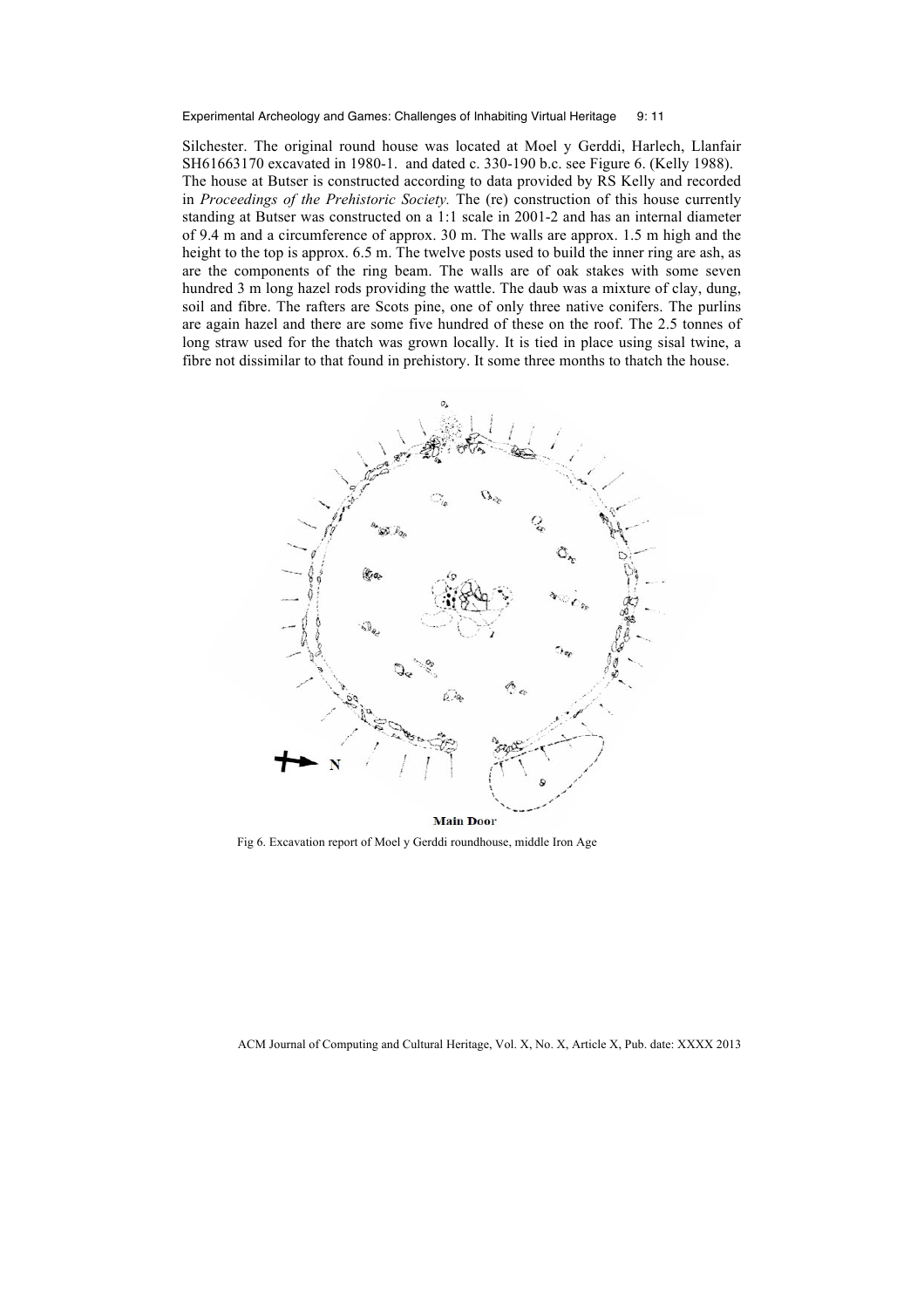Silchester. The original round house was located at Moel y Gerddi, Harlech, Llanfair SH61663170 excavated in 1980-1. and dated c. 330-190 b.c. see Figure 6. (Kelly 1988). The house at Butser is constructed according to data provided by RS Kelly and recorded in *Proceedings of the Prehistoric Society.* The (re) construction of this house currently standing at Butser was constructed on a 1:1 scale in 2001-2 and has an internal diameter of 9.4 m and a circumference of approx. 30 m. The walls are approx. 1.5 m high and the height to the top is approx. 6.5 m. The twelve posts used to build the inner ring are ash, as are the components of the ring beam. The walls are of oak stakes with some seven hundred 3 m long hazel rods providing the wattle. The daub was a mixture of clay, dung, soil and fibre. The rafters are Scots pine, one of only three native conifers. The purlins are again hazel and there are some five hundred of these on the roof. The 2.5 tonnes of long straw used for the thatch was grown locally. It is tied in place using sisal twine, a fibre not dissimilar to that found in prehistory. It some three months to thatch the house.



Fig 6. Excavation report of Moel y Gerddi roundhouse, middle Iron Age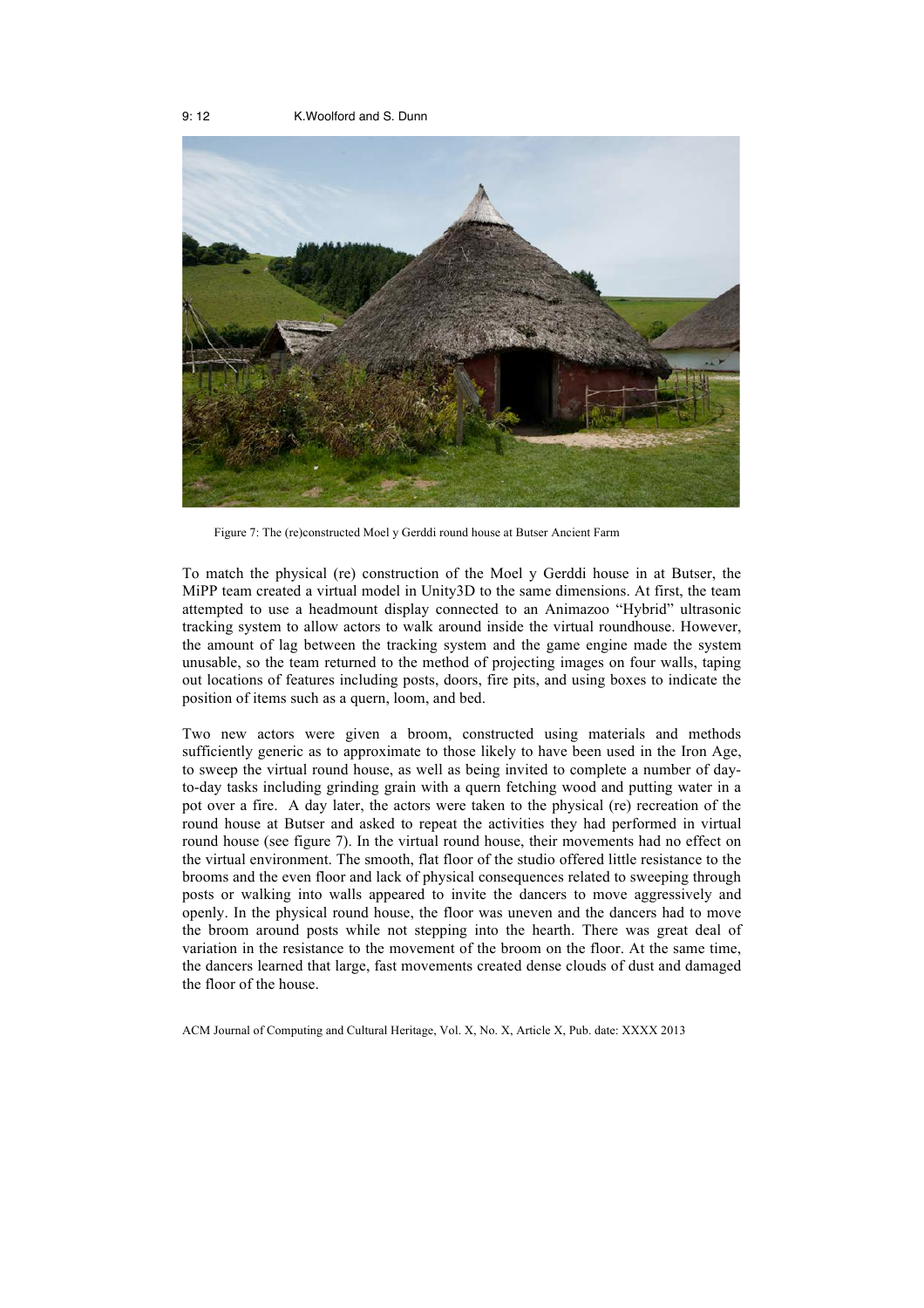

Figure 7: The (re)constructed Moel y Gerddi round house at Butser Ancient Farm

To match the physical (re) construction of the Moel y Gerddi house in at Butser, the MiPP team created a virtual model in Unity3D to the same dimensions. At first, the team attempted to use a headmount display connected to an Animazoo "Hybrid" ultrasonic tracking system to allow actors to walk around inside the virtual roundhouse. However, the amount of lag between the tracking system and the game engine made the system unusable, so the team returned to the method of projecting images on four walls, taping out locations of features including posts, doors, fire pits, and using boxes to indicate the position of items such as a quern, loom, and bed.

Two new actors were given a broom, constructed using materials and methods sufficiently generic as to approximate to those likely to have been used in the Iron Age, to sweep the virtual round house, as well as being invited to complete a number of dayto-day tasks including grinding grain with a quern fetching wood and putting water in a pot over a fire. A day later, the actors were taken to the physical (re) recreation of the round house at Butser and asked to repeat the activities they had performed in virtual round house (see figure 7). In the virtual round house, their movements had no effect on the virtual environment. The smooth, flat floor of the studio offered little resistance to the brooms and the even floor and lack of physical consequences related to sweeping through posts or walking into walls appeared to invite the dancers to move aggressively and openly. In the physical round house, the floor was uneven and the dancers had to move the broom around posts while not stepping into the hearth. There was great deal of variation in the resistance to the movement of the broom on the floor. At the same time, the dancers learned that large, fast movements created dense clouds of dust and damaged the floor of the house.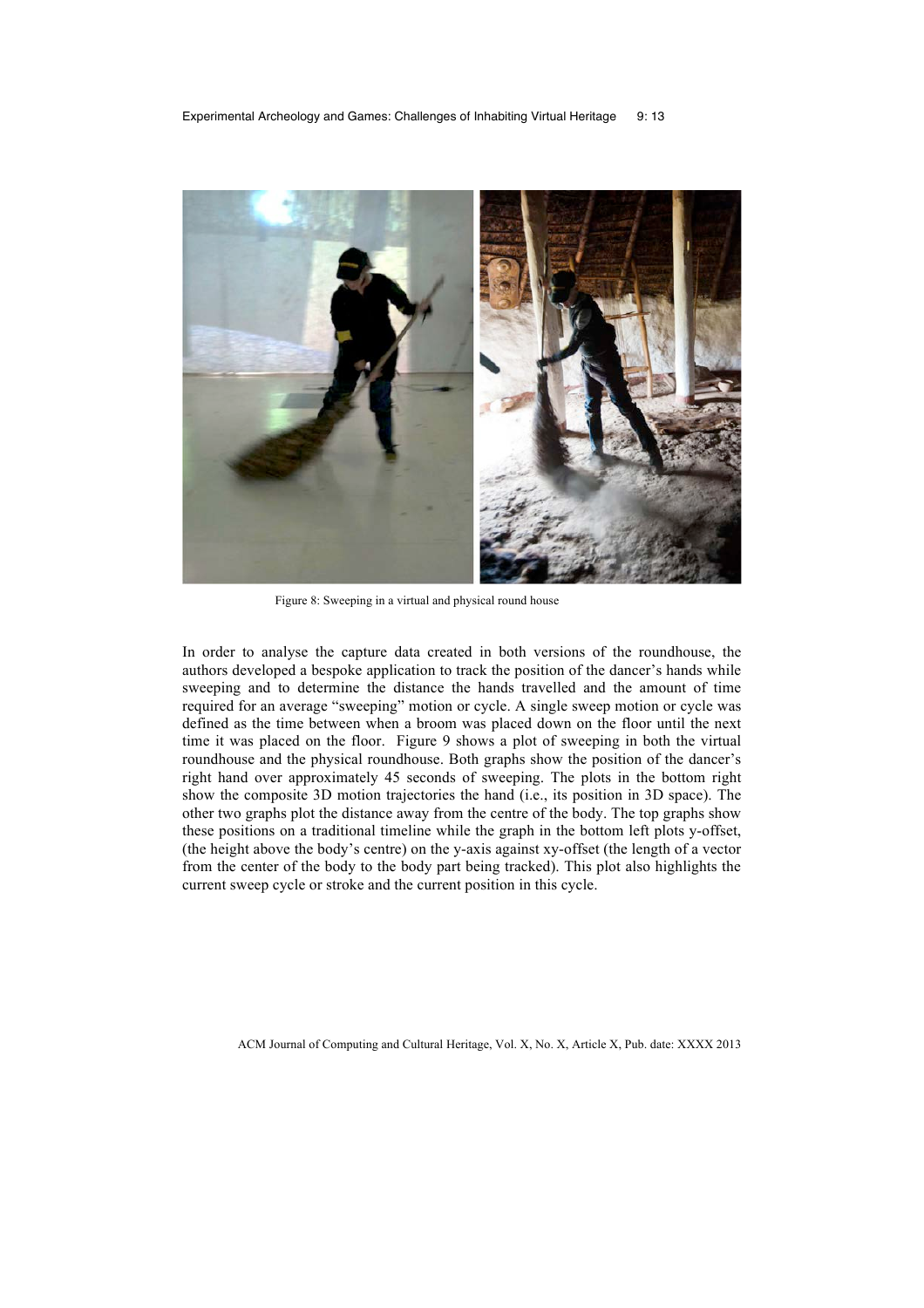

Figure 8: Sweeping in a virtual and physical round house

In order to analyse the capture data created in both versions of the roundhouse, the authors developed a bespoke application to track the position of the dancer's hands while sweeping and to determine the distance the hands travelled and the amount of time required for an average "sweeping" motion or cycle. A single sweep motion or cycle was defined as the time between when a broom was placed down on the floor until the next time it was placed on the floor. Figure 9 shows a plot of sweeping in both the virtual roundhouse and the physical roundhouse. Both graphs show the position of the dancer's right hand over approximately 45 seconds of sweeping. The plots in the bottom right show the composite 3D motion trajectories the hand (i.e., its position in 3D space). The other two graphs plot the distance away from the centre of the body. The top graphs show these positions on a traditional timeline while the graph in the bottom left plots y-offset, (the height above the body's centre) on the y-axis against xy-offset (the length of a vector from the center of the body to the body part being tracked). This plot also highlights the current sweep cycle or stroke and the current position in this cycle.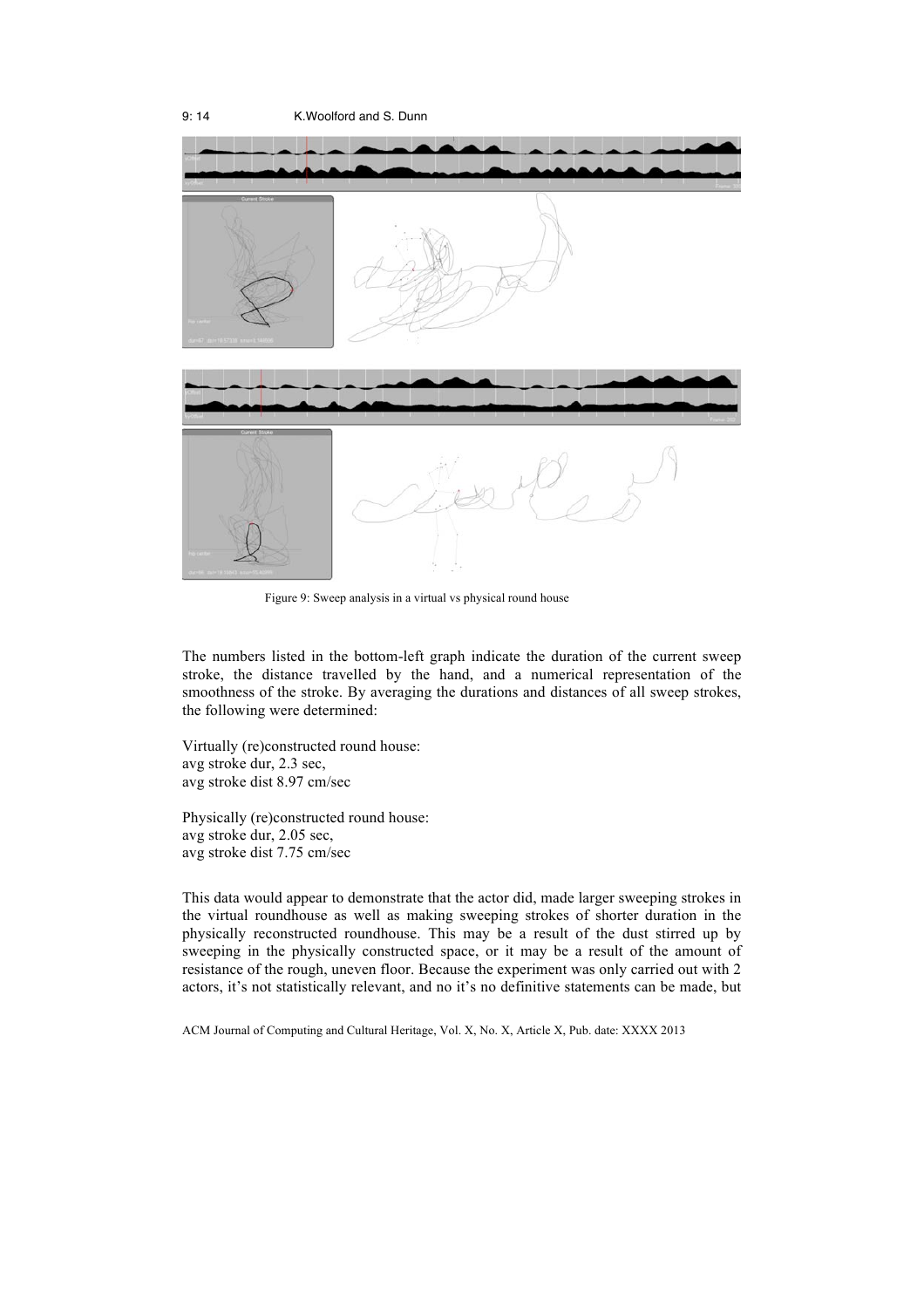

Figure 9: Sweep analysis in a virtual vs physical round house

The numbers listed in the bottom-left graph indicate the duration of the current sweep stroke, the distance travelled by the hand, and a numerical representation of the smoothness of the stroke. By averaging the durations and distances of all sweep strokes, the following were determined:

Virtually (re)constructed round house: avg stroke dur, 2.3 sec, avg stroke dist 8.97 cm/sec

Physically (re)constructed round house: avg stroke dur, 2.05 sec, avg stroke dist 7.75 cm/sec

This data would appear to demonstrate that the actor did, made larger sweeping strokes in the virtual roundhouse as well as making sweeping strokes of shorter duration in the physically reconstructed roundhouse. This may be a result of the dust stirred up by sweeping in the physically constructed space, or it may be a result of the amount of resistance of the rough, uneven floor. Because the experiment was only carried out with 2 actors, it's not statistically relevant, and no it's no definitive statements can be made, but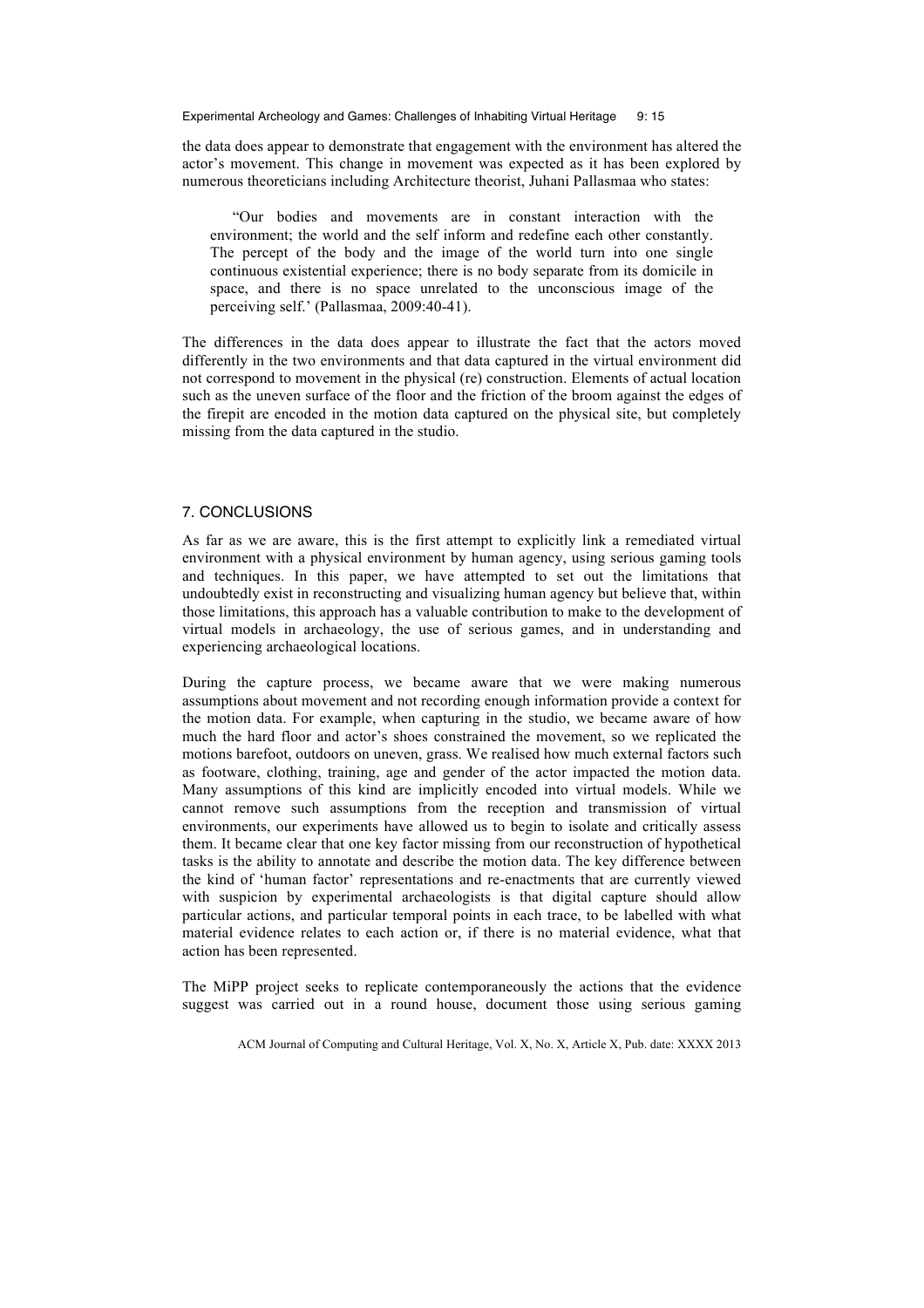the data does appear to demonstrate that engagement with the environment has altered the actor's movement. This change in movement was expected as it has been explored by numerous theoreticians including Architecture theorist, Juhani Pallasmaa who states:

"Our bodies and movements are in constant interaction with the environment; the world and the self inform and redefine each other constantly. The percept of the body and the image of the world turn into one single continuous existential experience; there is no body separate from its domicile in space, and there is no space unrelated to the unconscious image of the perceiving self.' (Pallasmaa, 2009:40-41).

The differences in the data does appear to illustrate the fact that the actors moved differently in the two environments and that data captured in the virtual environment did not correspond to movement in the physical (re) construction. Elements of actual location such as the uneven surface of the floor and the friction of the broom against the edges of the firepit are encoded in the motion data captured on the physical site, but completely missing from the data captured in the studio.

#### 7. CONCLUSIONS

As far as we are aware, this is the first attempt to explicitly link a remediated virtual environment with a physical environment by human agency, using serious gaming tools and techniques. In this paper, we have attempted to set out the limitations that undoubtedly exist in reconstructing and visualizing human agency but believe that, within those limitations, this approach has a valuable contribution to make to the development of virtual models in archaeology, the use of serious games, and in understanding and experiencing archaeological locations.

During the capture process, we became aware that we were making numerous assumptions about movement and not recording enough information provide a context for the motion data. For example, when capturing in the studio, we became aware of how much the hard floor and actor's shoes constrained the movement, so we replicated the motions barefoot, outdoors on uneven, grass. We realised how much external factors such as footware, clothing, training, age and gender of the actor impacted the motion data. Many assumptions of this kind are implicitly encoded into virtual models. While we cannot remove such assumptions from the reception and transmission of virtual environments, our experiments have allowed us to begin to isolate and critically assess them. It became clear that one key factor missing from our reconstruction of hypothetical tasks is the ability to annotate and describe the motion data. The key difference between the kind of 'human factor' representations and re-enactments that are currently viewed with suspicion by experimental archaeologists is that digital capture should allow particular actions, and particular temporal points in each trace, to be labelled with what material evidence relates to each action or, if there is no material evidence, what that action has been represented.

The MiPP project seeks to replicate contemporaneously the actions that the evidence suggest was carried out in a round house, document those using serious gaming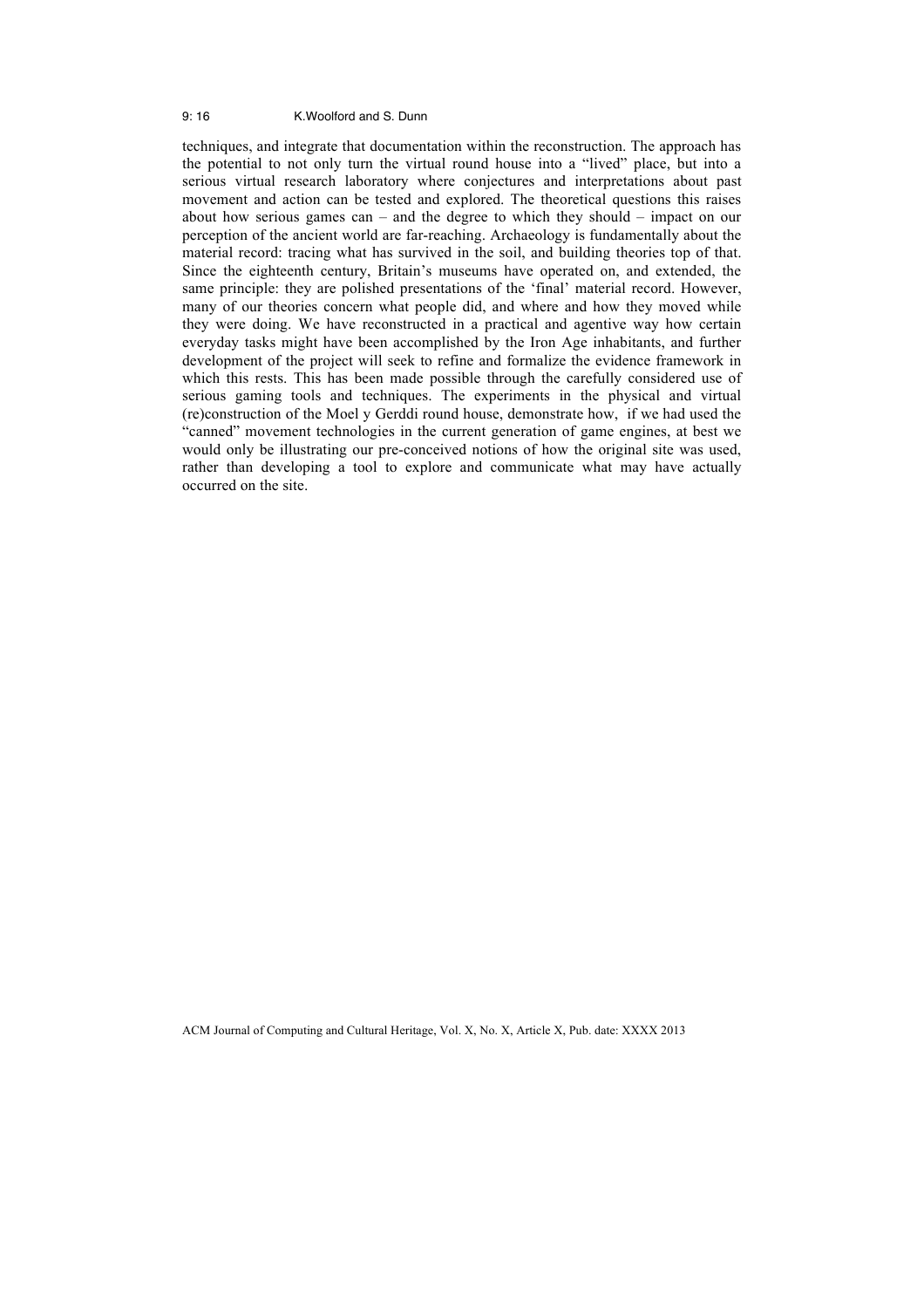#### 9: 16 K.Woolford and S. Dunn

techniques, and integrate that documentation within the reconstruction. The approach has the potential to not only turn the virtual round house into a "lived" place, but into a serious virtual research laboratory where conjectures and interpretations about past movement and action can be tested and explored. The theoretical questions this raises about how serious games can – and the degree to which they should – impact on our perception of the ancient world are far-reaching. Archaeology is fundamentally about the material record: tracing what has survived in the soil, and building theories top of that. Since the eighteenth century, Britain's museums have operated on, and extended, the same principle: they are polished presentations of the 'final' material record. However, many of our theories concern what people did, and where and how they moved while they were doing. We have reconstructed in a practical and agentive way how certain everyday tasks might have been accomplished by the Iron Age inhabitants, and further development of the project will seek to refine and formalize the evidence framework in which this rests. This has been made possible through the carefully considered use of serious gaming tools and techniques. The experiments in the physical and virtual (re)construction of the Moel y Gerddi round house, demonstrate how, if we had used the "canned" movement technologies in the current generation of game engines, at best we would only be illustrating our pre-conceived notions of how the original site was used, rather than developing a tool to explore and communicate what may have actually occurred on the site.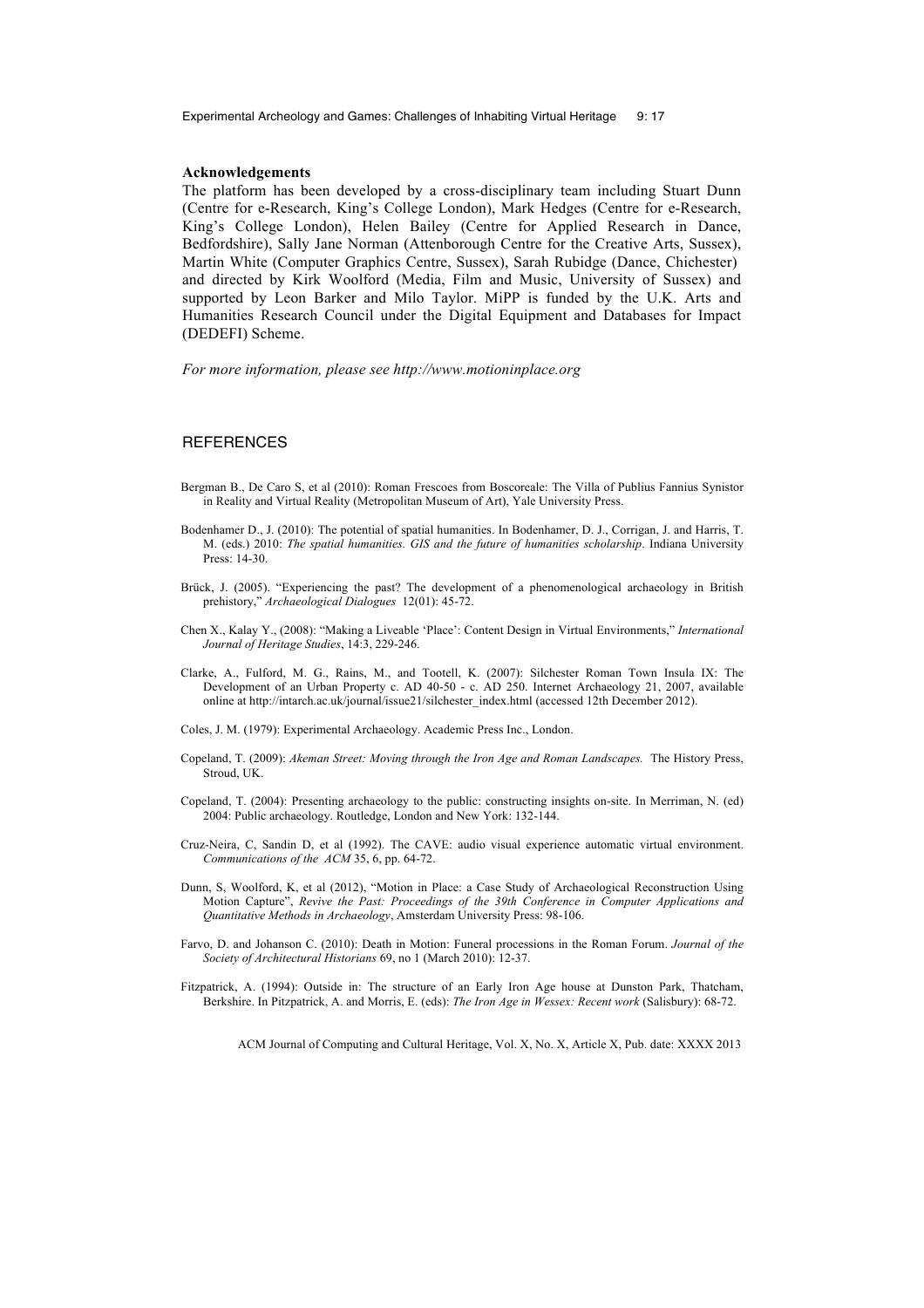#### **Acknowledgements**

The platform has been developed by a cross-disciplinary team including Stuart Dunn (Centre for e-Research, King's College London), Mark Hedges (Centre for e-Research, King's College London), Helen Bailey (Centre for Applied Research in Dance, Bedfordshire), Sally Jane Norman (Attenborough Centre for the Creative Arts, Sussex), Martin White (Computer Graphics Centre, Sussex), Sarah Rubidge (Dance, Chichester) and directed by Kirk Woolford (Media, Film and Music, University of Sussex) and supported by Leon Barker and Milo Taylor. MiPP is funded by the U.K. Arts and Humanities Research Council under the Digital Equipment and Databases for Impact (DEDEFI) Scheme.

*For more information, please see http://www.motioninplace.org*

#### **REFERENCES**

- Bergman B., De Caro S, et al (2010): Roman Frescoes from Boscoreale: The Villa of Publius Fannius Synistor in Reality and Virtual Reality (Metropolitan Museum of Art), Yale University Press.
- Bodenhamer D., J. (2010): The potential of spatial humanities. In Bodenhamer, D. J., Corrigan, J. and Harris, T. M. (eds.) 2010: *The spatial humanities. GIS and the future of humanities scholarship*. Indiana University Press: 14-30.
- Brück, J. (2005). "Experiencing the past? The development of a phenomenological archaeology in British prehistory," *Archaeological Dialogues* 12(01): 45-72.
- Chen X., Kalay Y., (2008): "Making a Liveable 'Place': Content Design in Virtual Environments," *International Journal of Heritage Studies*, 14:3, 229-246.
- Clarke, A., Fulford, M. G., Rains, M., and Tootell, K. (2007): Silchester Roman Town Insula IX: The Development of an Urban Property c. AD 40-50 - c. AD 250. Internet Archaeology 21, 2007, available online at http://intarch.ac.uk/journal/issue21/silchester\_index.html (accessed 12th December 2012).
- Coles, J. M. (1979): Experimental Archaeology. Academic Press Inc., London.
- Copeland, T. (2009): *Akeman Street: Moving through the Iron Age and Roman Landscapes.* The History Press, Stroud, UK.
- Copeland, T. (2004): Presenting archaeology to the public: constructing insights on-site. In Merriman, N. (ed) 2004: Public archaeology. Routledge, London and New York: 132-144.
- Cruz-Neira, C, Sandin D, et al (1992). The CAVE: audio visual experience automatic virtual environment. *Communications of the ACM* 35, 6, pp. 64-72.
- Dunn, S, Woolford, K, et al (2012), "Motion in Place: a Case Study of Archaeological Reconstruction Using Motion Capture", *Revive the Past: Proceedings of the 39th Conference in Computer Applications and Quantitative Methods in Archaeology*, Amsterdam University Press: 98-106.
- Farvo, D. and Johanson C. (2010): Death in Motion: Funeral processions in the Roman Forum. *Journal of the Society of Architectural Historians* 69, no 1 (March 2010): 12-37.
- Fitzpatrick, A. (1994): Outside in: The structure of an Early Iron Age house at Dunston Park, Thatcham, Berkshire. In Pitzpatrick, A. and Morris, E. (eds): *The Iron Age in Wessex: Recent work* (Salisbury): 68-72.